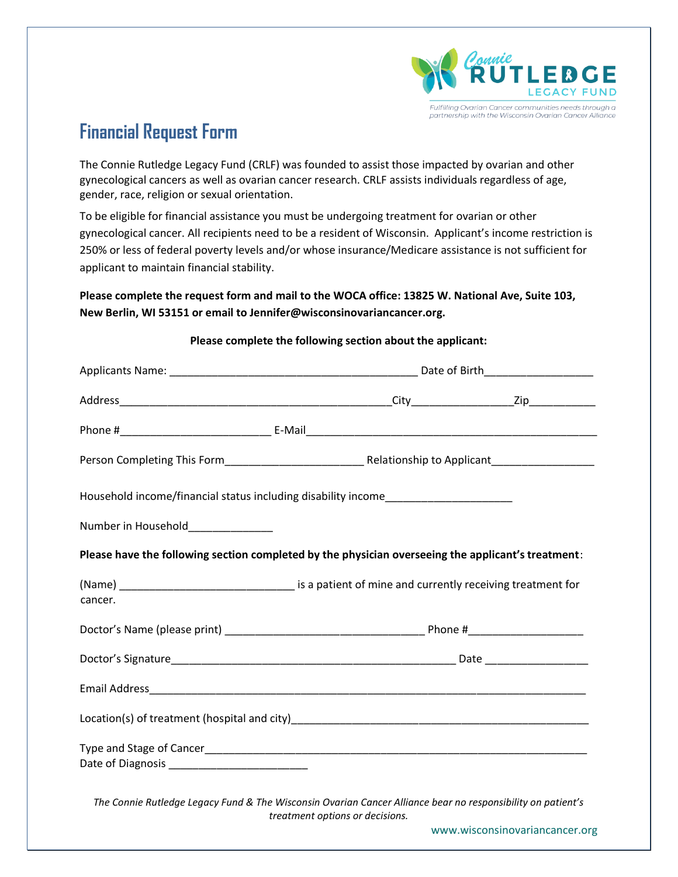

## **Financial Request Form**

The Connie Rutledge Legacy Fund (CRLF) was founded to assist those impacted by ovarian and other gynecological cancers as well as ovarian cancer research. CRLF assists individuals regardless of age, gender, race, religion or sexual orientation.

To be eligible for financial assistance you must be undergoing treatment for ovarian or other gynecological cancer. All recipients need to be a resident of Wisconsin. Applicant's income restriction is 250% or less of federal poverty levels and/or whose insurance/Medicare assistance is not sufficient for applicant to maintain financial stability.

## **Please complete the request form and mail to the WOCA office: 13825 W. National Ave, Suite 103, New Berlin, WI 53151 or email to Jennifer@wisconsinovariancancer.org.**

| Household income/financial status including disability income___________________                            |                                 |                                |  |  |
|-------------------------------------------------------------------------------------------------------------|---------------------------------|--------------------------------|--|--|
| Number in Household______________                                                                           |                                 |                                |  |  |
| Please have the following section completed by the physician overseeing the applicant's treatment:          |                                 |                                |  |  |
| cancer.                                                                                                     |                                 |                                |  |  |
|                                                                                                             |                                 |                                |  |  |
|                                                                                                             |                                 |                                |  |  |
|                                                                                                             |                                 |                                |  |  |
|                                                                                                             |                                 |                                |  |  |
|                                                                                                             |                                 |                                |  |  |
| The Connie Rutledge Legacy Fund & The Wisconsin Ovarian Cancer Alliance bear no responsibility on patient's | treatment options or decisions. |                                |  |  |
|                                                                                                             |                                 | www.wisconsinovariancancer.org |  |  |

## **Please complete the following section about the applicant:**